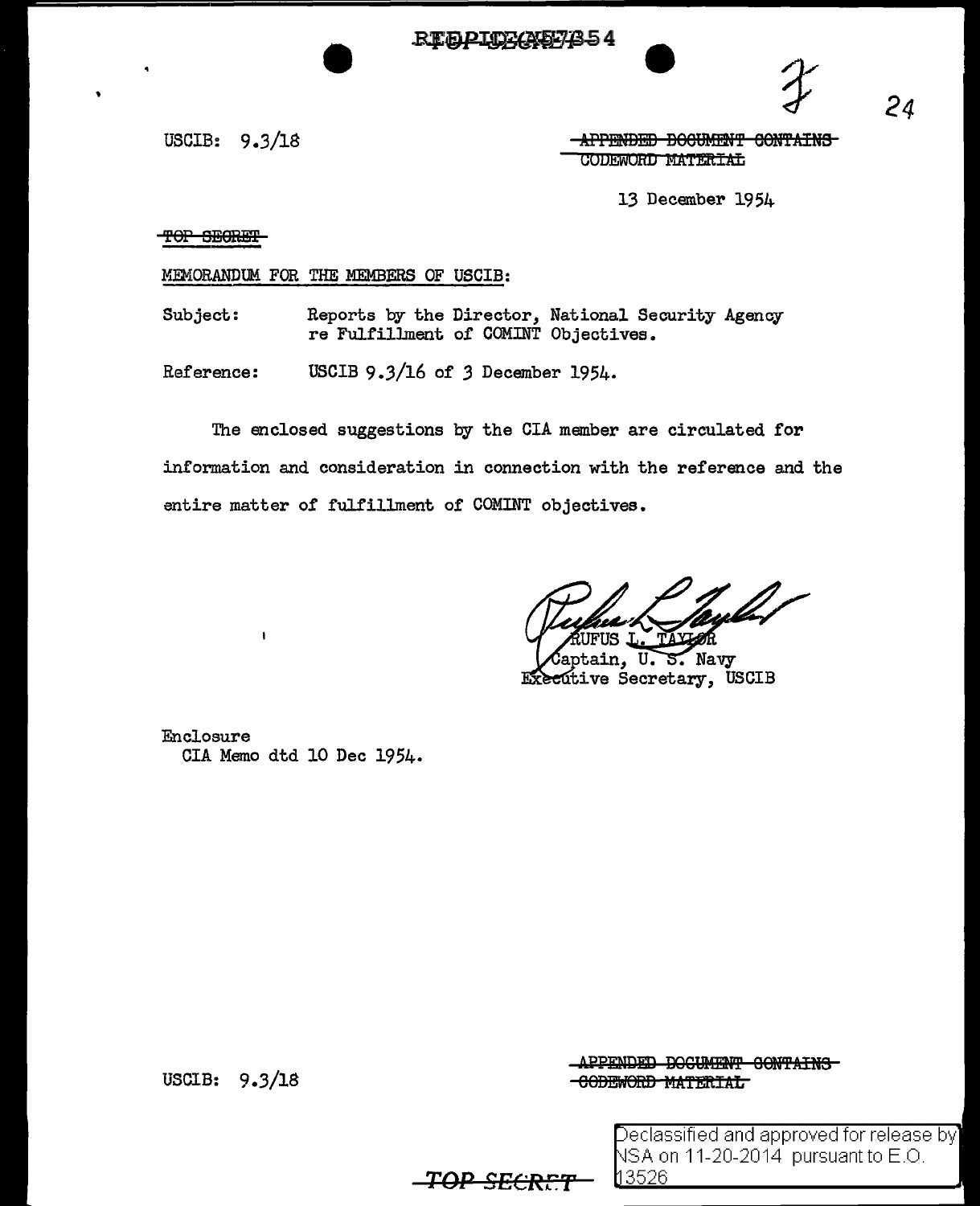**REBOICKAE7854** 



 $24$ 

USCIB:  $9.3/18$ 

-APPENDED DOCUMENT CONTAINS CODEWORD MATERIAL

13 December 1954

TOP SECRET

MEMORANDUM FOR THE MEMBERS OF USCIB:

Reports by the Director, National Security Agency Subject: re Fulfillment of COMINT Objectives.

Reference: USCIB 9.3/16 of 3 December 1954.

The enclosed suggestions by the CIA member are circulated for information and consideration in connection with the reference and the entire matter of fulfillment of COMINT objectives.

Captain, U.S. Navy Executive Secretary, USCIB

Enclosure CIA Memo dtd 10 Dec 1954.

USCIB: 9.3/18

APPENDED DOCUMENT CONTAINS -CODEWORD MATERIAL

> Declassified and approved for release by NSA on 11-20-2014 pursuant to E.O. l13526

<del>TOP SECRET</del>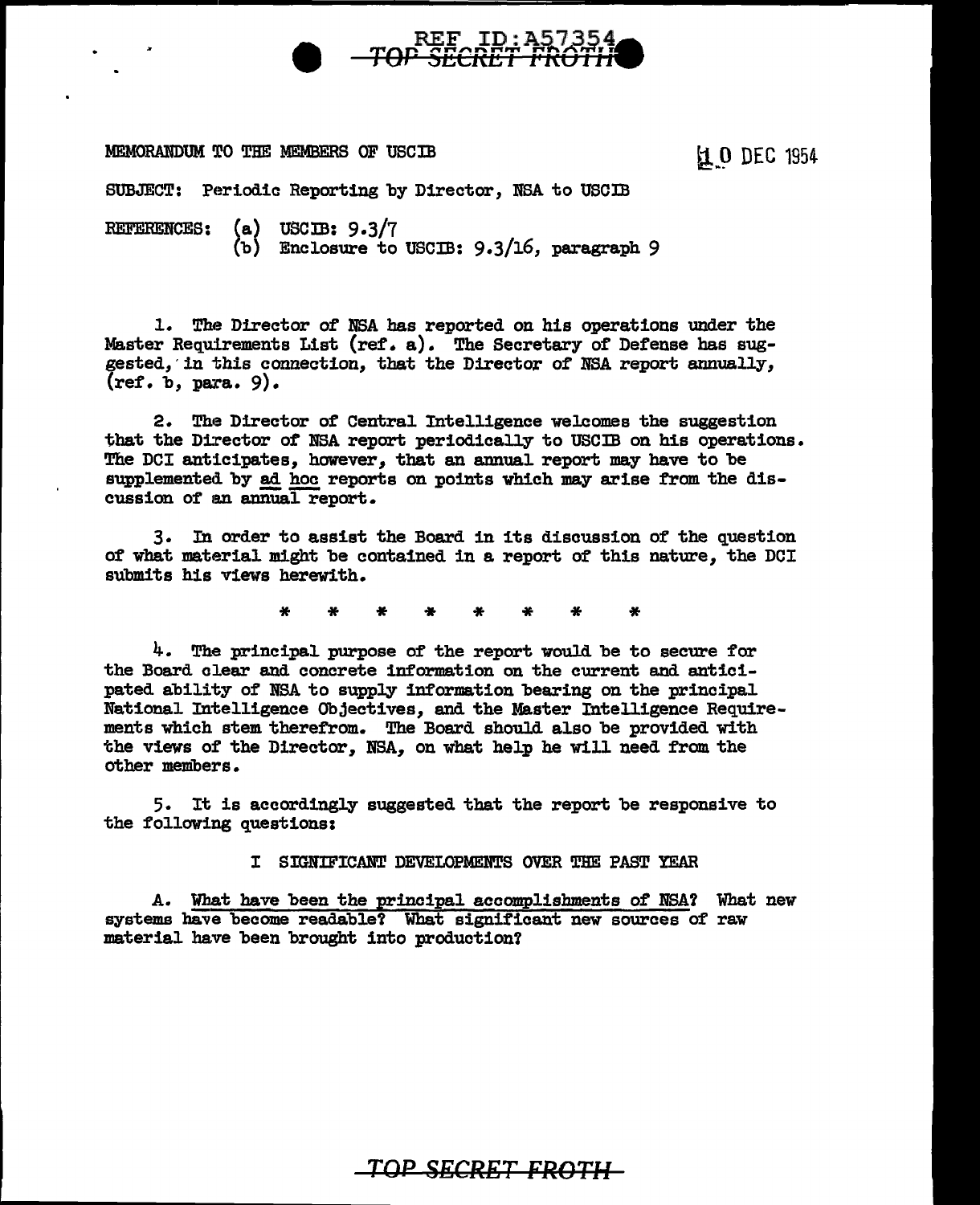# REF ID: A57354<br>**TOP SECRET FROTH**

#### MEMORANDUM TO THE MEMBERS OF USCIB

**は 0 DEC 1954** 

SUBJECT: Periodic Reporting by Director, NSA to USCIB

REFERENCES: (a) USCIB: 9.3/7 (b) Enclosure to USCIB: 9.3/16, paragraph 9

1. The Director of NSA has reported on his operations under the Master Requirements List (ref. a). The Secretary of Defense has suggested, in this connection, that the Director of NSA report annually,  $(ref. b. para. 9).$ 

2. The Director of Central Intelligence welcomes the suggestion that the Director of NSA report periodically to USCIB on his operations. The DCI anticipates, however, that an annual report may have to be supplemented by ad hoc reports on points which may arise from the discussion of an annual report.

3. In order to assist the Board in its discussion of the question of what material might be contained in a report of this nature, the DCI submits his views herewith.

\* \* \* \* \* \* \* \*

4. The principal purpose of the report would be to secure for the Board clear and concrete information on the current and anticipated ability of NSA to supply information bearing on the principal National Intelligence Objectives, and the Master Intelligence Requirements which stem therefrom. The Board should also be provided with the views of the Director, NBA, on what help he will need from the other members.

5. It is accordingly suggested that the report be responsive to the following questionsi

I SIGNIFICANT DEVELOPMENTS OVER THE PAST YEAR

A. What have been the principal accomplishments of NSA? What new systems have become readable! What significant new sources of raw material have been brought into production?

## *TOP SECRET FROTH*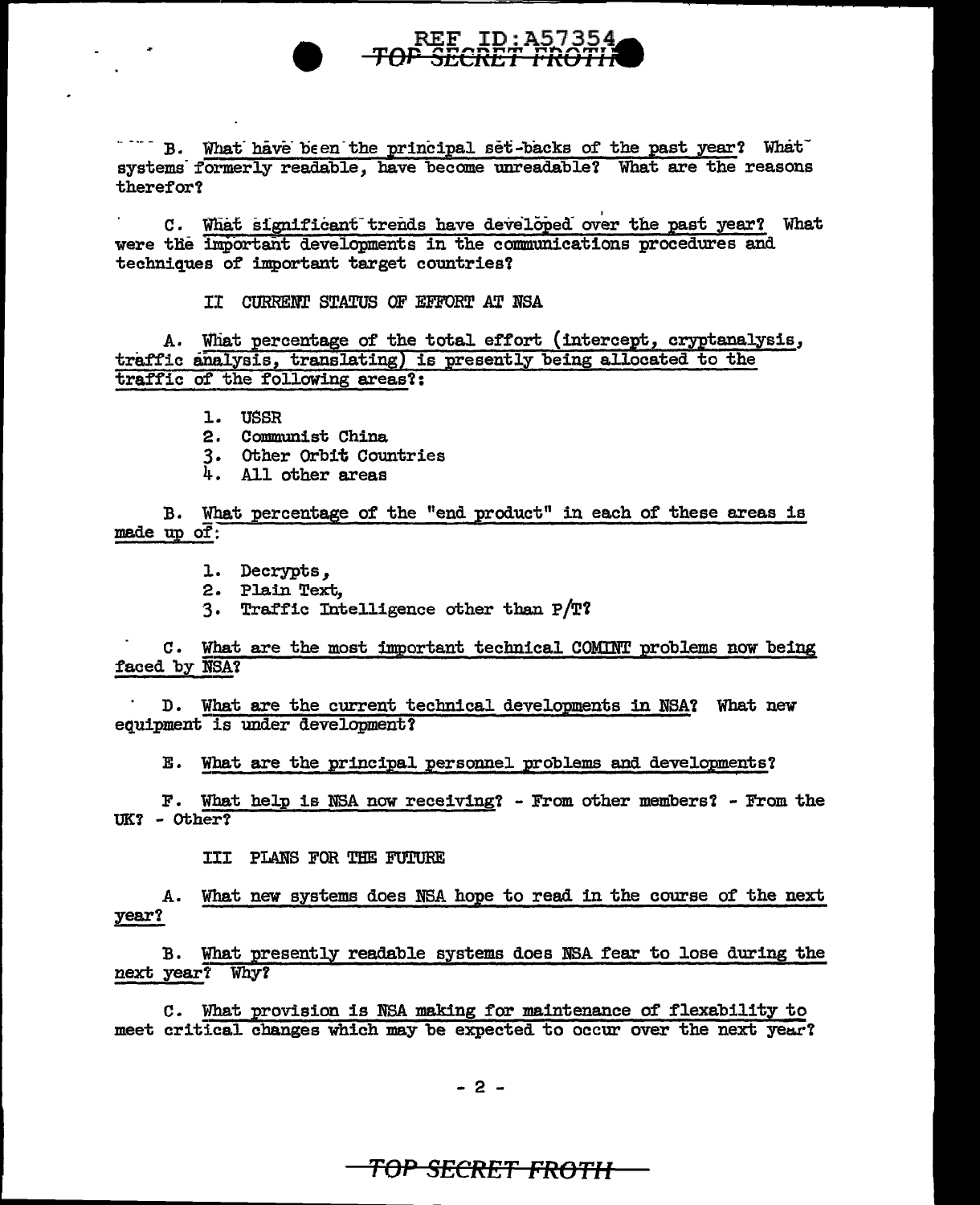

" " B. What have been the principal set-backs of the past year? What systems formerly readable, have become unreadable? What are the reasons therefor?

C. What significant trends have developed over the past year? What were the important developments in the communications procedures and techniques of important target countries?

IT CURRENT STATUS OF EFFORT AT NSA

A. What percentage of the total effort (intercept, cryptanalysis, traffic analysis, translating) is presently being allocated to the traffic of the following areas?:

1. USSR

 $\sim$ 

- 2. Communist China
- 3. Other Orbit Countries
- 4. All other areas

B. What percentage of the "end product" in each of these areas is made up of:

1. Decrypts,

2. Plain Text.

3. Traffic Intelligence other than  $P/T$ ?

C. What are the most important technical COMINT problems now being faced by NSA?

D. What are the current technical developments in NSA? What new equipment is under development?

E. What are the principal personnel problems and developments?

F. What help is NSA now receiving? - From other members? - From the  $UK? - Other?$ 

III PLANS FOR THE FUTURE

A. What new systems does NSA hope to read in the course of the next year?

B. What presently readable systems does NSA fear to lose during the next year? Why?

C. What provision is NSA making for maintenance of flexability to meet critical changes which may be expected to occur over the next year?

 $-2-$ 

## <del>TOP SECRET FROTH-</del>